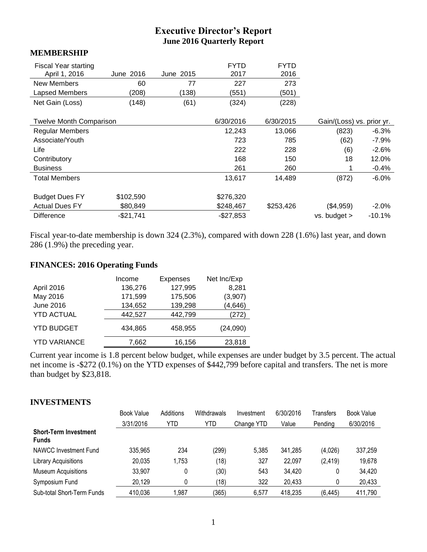# **Executive Director's Report June 2016 Quarterly Report**

#### **MEMBERSHIP**

| <b>Fiscal Year starting</b><br>April 1, 2016 | June 2016 | June 2015 | <b>FYTD</b><br>2017 | <b>FYTD</b><br>2016 |                           |          |
|----------------------------------------------|-----------|-----------|---------------------|---------------------|---------------------------|----------|
|                                              |           |           |                     |                     |                           |          |
| New Members                                  | 60        | 77        | 227                 | 273                 |                           |          |
| Lapsed Members                               | (208)     | (138)     | (551)               | (501)               |                           |          |
| Net Gain (Loss)                              | (148)     | (61)      | (324)               | (228)               |                           |          |
| <b>Twelve Month Comparison</b>               |           |           | 6/30/2016           | 6/30/2015           | Gain/(Loss) vs. prior yr. |          |
|                                              |           |           |                     |                     |                           |          |
| <b>Regular Members</b>                       |           |           | 12,243              | 13,066              | (823)                     | $-6.3%$  |
| Associate/Youth                              |           |           | 723                 | 785                 | (62)                      | $-7.9\%$ |
| Life                                         |           |           | 222                 | 228                 | (6)                       | $-2.6%$  |
| Contributory                                 |           |           | 168                 | 150                 | 18                        | 12.0%    |
| <b>Business</b>                              |           |           | 261                 | 260                 |                           | $-0.4%$  |
| <b>Total Members</b>                         |           |           | 13,617              | 14,489              | (872)                     | $-6.0%$  |
| <b>Budget Dues FY</b>                        | \$102,590 |           | \$276,320           |                     |                           |          |
| <b>Actual Dues FY</b>                        | \$80,849  |           | \$248,467           | \$253,426           | (\$4,959)                 | $-2.0\%$ |
| <b>Difference</b>                            | -\$21,741 |           | $-$27,853$          |                     | vs. budget >              | $-10.1%$ |

Fiscal year-to-date membership is down 324 (2.3%), compared with down 228 (1.6%) last year, and down 286 (1.9%) the preceding year.

#### **FINANCES: 2016 Operating Funds**

|                     | Income  | <b>Expenses</b> | Net Inc/Exp |
|---------------------|---------|-----------------|-------------|
| April 2016          | 136,276 | 127,995         | 8,281       |
| May 2016            | 171,599 | 175,506         | (3,907)     |
| <b>June 2016</b>    | 134,652 | 139,298         | (4, 646)    |
| <b>YTD ACTUAL</b>   | 442,527 | 442,799         | (272)       |
| <b>YTD BUDGET</b>   | 434.865 | 458,955         | (24,090)    |
| <b>YTD VARIANCE</b> | 7,662   | 16,156          | 23,818      |

Current year income is 1.8 percent below budget, while expenses are under budget by 3.5 percent. The actual net income is -\$272 (0.1%) on the YTD expenses of \$442,799 before capital and transfers. The net is more than budget by \$23,818.

### **INVESTMENTS**

|                                              | <b>Book Value</b> | Additions | Withdrawals | Investment | 6/30/2016 | Transfers | Book Value |
|----------------------------------------------|-------------------|-----------|-------------|------------|-----------|-----------|------------|
|                                              | 3/31/2016         | YTD       | YTD         | Change YTD | Value     | Pending   | 6/30/2016  |
| <b>Short-Term Investment</b><br><b>Funds</b> |                   |           |             |            |           |           |            |
| NAWCC Investment Fund                        | 335,965           | 234       | (299)       | 5,385      | 341,285   | (4,026)   | 337,259    |
| Library Acquisitions                         | 20,035            | 1,753     | (18)        | 327        | 22,097    | (2, 419)  | 19,678     |
| <b>Museum Acquisitions</b>                   | 33,907            | 0         | (30)        | 543        | 34,420    | 0         | 34,420     |
| Symposium Fund                               | 20,129            | 0         | (18)        | 322        | 20,433    | 0         | 20,433     |
| Sub-total Short-Term Funds                   | 410,036           | .987      | (365)       | 6.577      | 418,235   | (6, 445)  | 411,790    |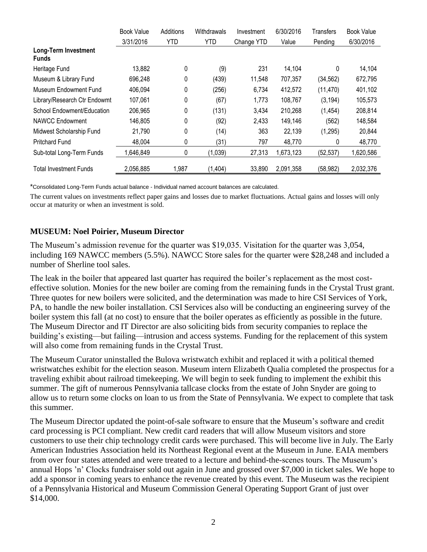|                                      | <b>Book Value</b> | Additions  | Withdrawals | Investment | 6/30/2016 | <b>Transfers</b> | <b>Book Value</b> |
|--------------------------------------|-------------------|------------|-------------|------------|-----------|------------------|-------------------|
|                                      | 3/31/2016         | <b>YTD</b> | <b>YTD</b>  | Change YTD | Value     | Pending          | 6/30/2016         |
| Long-Term Investment<br><b>Funds</b> |                   |            |             |            |           |                  |                   |
| Heritage Fund                        | 13,882            | 0          | (9)         | 231        | 14,104    | 0                | 14,104            |
| Museum & Library Fund                | 696,248           | 0          | (439)       | 11,548     | 707,357   | (34, 562)        | 672,795           |
| Museum Endowment Fund                | 406,094           | 0          | (256)       | 6,734      | 412,572   | (11, 470)        | 401,102           |
| Library/Research Ctr Endowmt         | 107,061           | 0          | (67)        | 1,773      | 108,767   | (3, 194)         | 105,573           |
| School Endowment/Education           | 206,965           | 0          | (131)       | 3,434      | 210,268   | (1, 454)         | 208,814           |
| NAWCC Endowment                      | 146,805           | 0          | (92)        | 2,433      | 149,146   | (562)            | 148,584           |
| Midwest Scholarship Fund             | 21,790            | 0          | (14)        | 363        | 22,139    | (1,295)          | 20,844            |
| <b>Pritchard Fund</b>                | 48,004            | 0          | (31)        | 797        | 48,770    | 0                | 48,770            |
| Sub-total Long-Term Funds            | 1,646,849         | 0          | (1,039)     | 27,313     | 1,673,123 | (52, 537)        | 1,620,586         |
| Total Investment Funds               | 2,056,885         | 1,987      | (1,404)     | 33,890     | 2,091,358 | (58, 982)        | 2,032,376         |

\*Consolidated Long-Term Funds actual balance - Individual named account balances are calculated.

The current values on investments reflect paper gains and losses due to market fluctuations. Actual gains and losses will only occur at maturity or when an investment is sold.

### **MUSEUM: Noel Poirier, Museum Director**

The Museum's admission revenue for the quarter was \$19,035. Visitation for the quarter was 3,054, including 169 NAWCC members (5.5%). NAWCC Store sales for the quarter were \$28,248 and included a number of Sherline tool sales.

The leak in the boiler that appeared last quarter has required the boiler's replacement as the most costeffective solution. Monies for the new boiler are coming from the remaining funds in the Crystal Trust grant. Three quotes for new boilers were solicited, and the determination was made to hire CSI Services of York, PA, to handle the new boiler installation. CSI Services also will be conducting an engineering survey of the boiler system this fall (at no cost) to ensure that the boiler operates as efficiently as possible in the future. The Museum Director and IT Director are also soliciting bids from security companies to replace the building's existing—but failing—intrusion and access systems. Funding for the replacement of this system will also come from remaining funds in the Crystal Trust.

The Museum Curator uninstalled the Bulova wristwatch exhibit and replaced it with a political themed wristwatches exhibit for the election season. Museum intern Elizabeth Qualia completed the prospectus for a traveling exhibit about railroad timekeeping. We will begin to seek funding to implement the exhibit this summer. The gift of numerous Pennsylvania tallcase clocks from the estate of John Snyder are going to allow us to return some clocks on loan to us from the State of Pennsylvania. We expect to complete that task this summer.

The Museum Director updated the point-of-sale software to ensure that the Museum's software and credit card processing is PCI compliant. New credit card readers that will allow Museum visitors and store customers to use their chip technology credit cards were purchased. This will become live in July. The Early American Industries Association held its Northeast Regional event at the Museum in June. EAIA members from over four states attended and were treated to a lecture and behind-the-scenes tours. The Museum's annual Hops 'n' Clocks fundraiser sold out again in June and grossed over \$7,000 in ticket sales. We hope to add a sponsor in coming years to enhance the revenue created by this event. The Museum was the recipient of a Pennsylvania Historical and Museum Commission General Operating Support Grant of just over \$14,000.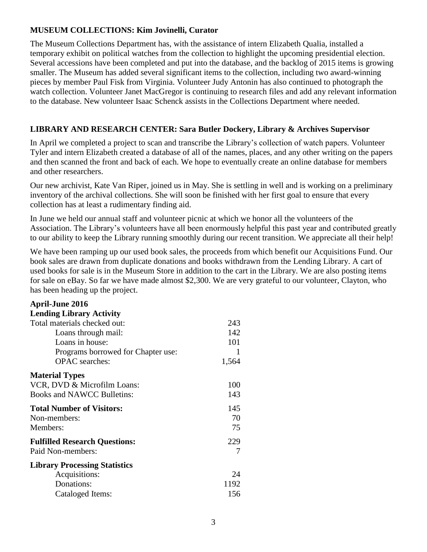### **MUSEUM COLLECTIONS: Kim Jovinelli, Curator**

The Museum Collections Department has, with the assistance of intern Elizabeth Qualia, installed a temporary exhibit on political watches from the collection to highlight the upcoming presidential election. Several accessions have been completed and put into the database, and the backlog of 2015 items is growing smaller. The Museum has added several significant items to the collection, including two award-winning pieces by member Paul Fisk from Virginia. Volunteer Judy Antonin has also continued to photograph the watch collection. Volunteer Janet MacGregor is continuing to research files and add any relevant information to the database. New volunteer Isaac Schenck assists in the Collections Department where needed.

## **LIBRARY AND RESEARCH CENTER: Sara Butler Dockery, Library & Archives Supervisor**

In April we completed a project to scan and transcribe the Library's collection of watch papers. Volunteer Tyler and intern Elizabeth created a database of all of the names, places, and any other writing on the papers and then scanned the front and back of each. We hope to eventually create an online database for members and other researchers.

Our new archivist, Kate Van Riper, joined us in May. She is settling in well and is working on a preliminary inventory of the archival collections. She will soon be finished with her first goal to ensure that every collection has at least a rudimentary finding aid.

In June we held our annual staff and volunteer picnic at which we honor all the volunteers of the Association. The Library's volunteers have all been enormously helpful this past year and contributed greatly to our ability to keep the Library running smoothly during our recent transition. We appreciate all their help!

We have been ramping up our used book sales, the proceeds from which benefit our Acquisitions Fund. Our book sales are drawn from duplicate donations and books withdrawn from the Lending Library. A cart of used books for sale is in the Museum Store in addition to the cart in the Library. We are also posting items for sale on eBay. So far we have made almost \$2,300. We are very grateful to our volunteer, Clayton, who has been heading up the project.

| <b>April-June 2016</b>               |       |
|--------------------------------------|-------|
| <b>Lending Library Activity</b>      |       |
| Total materials checked out:         | 243   |
| Loans through mail:                  | 142   |
| Loans in house:                      | 101   |
| Programs borrowed for Chapter use:   | 1     |
| <b>OPAC</b> searches:                | 1,564 |
| <b>Material Types</b>                |       |
| VCR, DVD & Microfilm Loans:          | 100   |
| <b>Books and NAWCC Bulletins:</b>    | 143   |
| <b>Total Number of Visitors:</b>     | 145   |
| Non-members:                         | 70    |
| Members:                             | 75    |
| <b>Fulfilled Research Questions:</b> | 229   |
| Paid Non-members:                    | 7     |
| <b>Library Processing Statistics</b> |       |
| Acquisitions:                        | 24    |
| Donations:                           | 1192  |
| Cataloged Items:                     | 156   |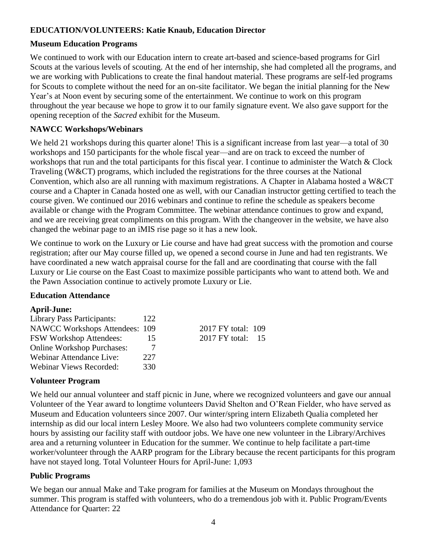# **EDUCATION/VOLUNTEERS: Katie Knaub, Education Director**

## **Museum Education Programs**

We continued to work with our Education intern to create art-based and science-based programs for Girl Scouts at the various levels of scouting. At the end of her internship, she had completed all the programs, and we are working with Publications to create the final handout material. These programs are self-led programs for Scouts to complete without the need for an on-site facilitator. We began the initial planning for the New Year's at Noon event by securing some of the entertainment. We continue to work on this program throughout the year because we hope to grow it to our family signature event. We also gave support for the opening reception of the *Sacred* exhibit for the Museum.

## **NAWCC Workshops/Webinars**

We held 21 workshops during this quarter alone! This is a significant increase from last year—a total of 30 workshops and 150 participants for the whole fiscal year—and are on track to exceed the number of workshops that run and the total participants for this fiscal year. I continue to administer the Watch & Clock Traveling (W&CT) programs, which included the registrations for the three courses at the National Convention, which also are all running with maximum registrations. A Chapter in Alabama hosted a W&CT course and a Chapter in Canada hosted one as well, with our Canadian instructor getting certified to teach the course given. We continued our 2016 webinars and continue to refine the schedule as speakers become available or change with the Program Committee. The webinar attendance continues to grow and expand, and we are receiving great compliments on this program. With the changeover in the website, we have also changed the webinar page to an iMIS rise page so it has a new look.

We continue to work on the Luxury or Lie course and have had great success with the promotion and course registration; after our May course filled up, we opened a second course in June and had ten registrants. We have coordinated a new watch appraisal course for the fall and are coordinating that course with the fall Luxury or Lie course on the East Coast to maximize possible participants who want to attend both. We and the Pawn Association continue to actively promote Luxury or Lie.

### **Education Attendance**

### **April-June:**

| <b>Library Pass Participants:</b>     | 122 |                    |      |
|---------------------------------------|-----|--------------------|------|
| <b>NAWCC Workshops Attendees: 109</b> |     | 2017 FY total: 109 |      |
| <b>FSW Workshop Attendees:</b>        | 15  | $2017$ FY total:   | - 15 |
| <b>Online Workshop Purchases:</b>     |     |                    |      |
| <b>Webinar Attendance Live:</b>       | 227 |                    |      |
| <b>Webinar Views Recorded:</b>        | 330 |                    |      |

# **Volunteer Program**

We held our annual volunteer and staff picnic in June, where we recognized volunteers and gave our annual Volunteer of the Year award to longtime volunteers David Shelton and O'Rean Fielder, who have served as Museum and Education volunteers since 2007. Our winter/spring intern Elizabeth Qualia completed her internship as did our local intern Lesley Moore. We also had two volunteers complete community service hours by assisting our facility staff with outdoor jobs. We have one new volunteer in the Library/Archives area and a returning volunteer in Education for the summer. We continue to help facilitate a part-time worker/volunteer through the AARP program for the Library because the recent participants for this program have not stayed long. Total Volunteer Hours for April-June: 1,093

# **Public Programs**

We began our annual Make and Take program for families at the Museum on Mondays throughout the summer. This program is staffed with volunteers, who do a tremendous job with it. Public Program/Events Attendance for Quarter: 22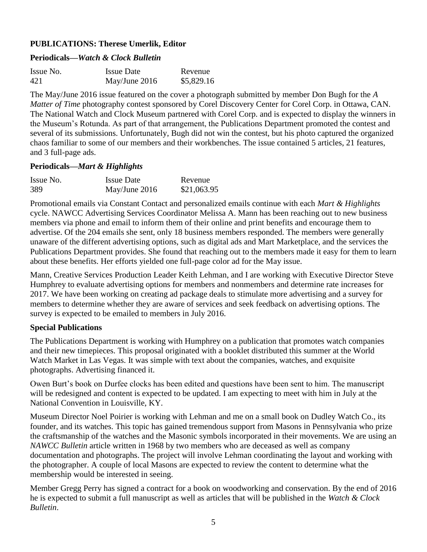## **PUBLICATIONS: Therese Umerlik, Editor**

#### **Periodicals—***Watch & Clock Bulletin*

| Issue No. | <b>Issue Date</b> | Revenue    |
|-----------|-------------------|------------|
| 421       | May/June 2016     | \$5,829.16 |

The May/June 2016 issue featured on the cover a photograph submitted by member Don Bugh for the *A Matter of Time* photography contest sponsored by Corel Discovery Center for Corel Corp. in Ottawa, CAN. The National Watch and Clock Museum partnered with Corel Corp. and is expected to display the winners in the Museum's Rotunda. As part of that arrangement, the Publications Department promoted the contest and several of its submissions. Unfortunately, Bugh did not win the contest, but his photo captured the organized chaos familiar to some of our members and their workbenches. The issue contained 5 articles, 21 features, and 3 full-page ads.

#### **Periodicals—***Mart & Highlights*

| Issue No. | <b>Issue Date</b> | Revenue     |
|-----------|-------------------|-------------|
| 389       | May/June $2016$   | \$21,063.95 |

Promotional emails via Constant Contact and personalized emails continue with each *Mart & Highlights* cycle. NAWCC Advertising Services Coordinator Melissa A. Mann has been reaching out to new business members via phone and email to inform them of their online and print benefits and encourage them to advertise. Of the 204 emails she sent, only 18 business members responded. The members were generally unaware of the different advertising options, such as digital ads and Mart Marketplace, and the services the Publications Department provides. She found that reaching out to the members made it easy for them to learn about these benefits. Her efforts yielded one full-page color ad for the May issue.

Mann, Creative Services Production Leader Keith Lehman, and I are working with Executive Director Steve Humphrey to evaluate advertising options for members and nonmembers and determine rate increases for 2017. We have been working on creating ad package deals to stimulate more advertising and a survey for members to determine whether they are aware of services and seek feedback on advertising options. The survey is expected to be emailed to members in July 2016.

### **Special Publications**

The Publications Department is working with Humphrey on a publication that promotes watch companies and their new timepieces. This proposal originated with a booklet distributed this summer at the World Watch Market in Las Vegas. It was simple with text about the companies, watches, and exquisite photographs. Advertising financed it.

Owen Burt's book on Durfee clocks has been edited and questions have been sent to him. The manuscript will be redesigned and content is expected to be updated. I am expecting to meet with him in July at the National Convention in Louisville, KY.

Museum Director Noel Poirier is working with Lehman and me on a small book on Dudley Watch Co., its founder, and its watches. This topic has gained tremendous support from Masons in Pennsylvania who prize the craftsmanship of the watches and the Masonic symbols incorporated in their movements. We are using an *NAWCC Bulletin* article written in 1968 by two members who are deceased as well as company documentation and photographs. The project will involve Lehman coordinating the layout and working with the photographer. A couple of local Masons are expected to review the content to determine what the membership would be interested in seeing.

Member Gregg Perry has signed a contract for a book on woodworking and conservation. By the end of 2016 he is expected to submit a full manuscript as well as articles that will be published in the *Watch & Clock Bulletin*.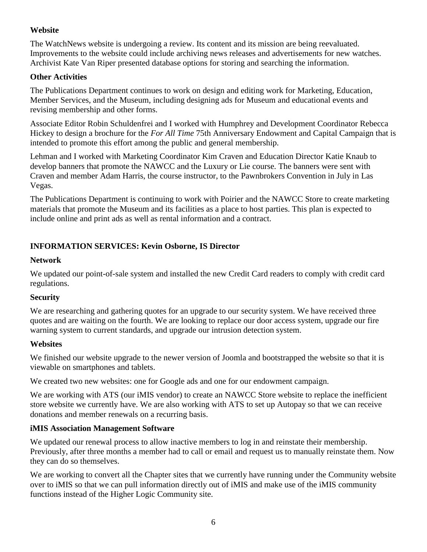## **Website**

The WatchNews website is undergoing a review. Its content and its mission are being reevaluated. Improvements to the website could include archiving news releases and advertisements for new watches. Archivist Kate Van Riper presented database options for storing and searching the information.

### **Other Activities**

The Publications Department continues to work on design and editing work for Marketing, Education, Member Services, and the Museum, including designing ads for Museum and educational events and revising membership and other forms.

Associate Editor Robin Schuldenfrei and I worked with Humphrey and Development Coordinator Rebecca Hickey to design a brochure for the *For All Time* 75th Anniversary Endowment and Capital Campaign that is intended to promote this effort among the public and general membership.

Lehman and I worked with Marketing Coordinator Kim Craven and Education Director Katie Knaub to develop banners that promote the NAWCC and the Luxury or Lie course. The banners were sent with Craven and member Adam Harris, the course instructor, to the Pawnbrokers Convention in July in Las Vegas.

The Publications Department is continuing to work with Poirier and the NAWCC Store to create marketing materials that promote the Museum and its facilities as a place to host parties. This plan is expected to include online and print ads as well as rental information and a contract.

# **INFORMATION SERVICES: Kevin Osborne, IS Director**

### **Network**

We updated our point-of-sale system and installed the new Credit Card readers to comply with credit card regulations.

### **Security**

We are researching and gathering quotes for an upgrade to our security system. We have received three quotes and are waiting on the fourth. We are looking to replace our door access system, upgrade our fire warning system to current standards, and upgrade our intrusion detection system.

### **Websites**

We finished our website upgrade to the newer version of Joomla and bootstrapped the website so that it is viewable on smartphones and tablets.

We created two new websites: one for Google ads and one for our endowment campaign.

We are working with ATS (our iMIS vendor) to create an NAWCC Store website to replace the inefficient store website we currently have. We are also working with ATS to set up Autopay so that we can receive donations and member renewals on a recurring basis.

### **iMIS Association Management Software**

We updated our renewal process to allow inactive members to log in and reinstate their membership. Previously, after three months a member had to call or email and request us to manually reinstate them. Now they can do so themselves.

We are working to convert all the Chapter sites that we currently have running under the Community website over to iMIS so that we can pull information directly out of iMIS and make use of the iMIS community functions instead of the Higher Logic Community site.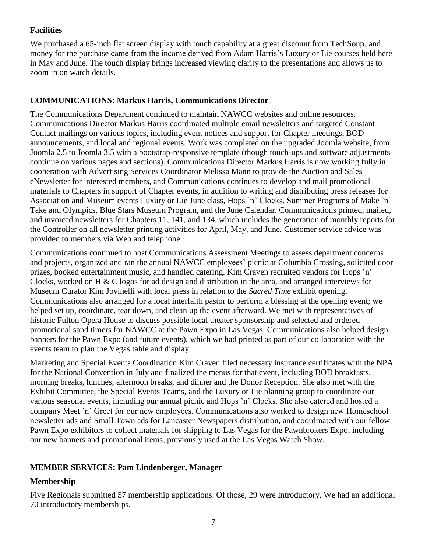### **Facilities**

We purchased a 65-inch flat screen display with touch capability at a great discount from TechSoup, and money for the purchase came from the income derived from Adam Harris's Luxury or Lie courses held here in May and June. The touch display brings increased viewing clarity to the presentations and allows us to zoom in on watch details.

### **COMMUNICATIONS: Markus Harris, Communications Director**

The Communications Department continued to maintain NAWCC websites and online resources. Communications Director Markus Harris coordinated multiple email newsletters and targeted Constant Contact mailings on various topics, including event notices and support for Chapter meetings, BOD announcements, and local and regional events. Work was completed on the upgraded Joomla website, from Joomla 2.5 to Joomla 3.5 with a bootstrap-responsive template (though touch-ups and software adjustments continue on various pages and sections). Communications Director Markus Harris is now working fully in cooperation with Advertising Services Coordinator Melissa Mann to provide the Auction and Sales eNewsletter for interested members, and Communications continues to develop and mail promotional materials to Chapters in support of Chapter events, in addition to writing and distributing press releases for Association and Museum events Luxury or Lie June class, Hops 'n' Clocks, Summer Programs of Make 'n' Take and Olympics, Blue Stars Museum Program, and the June Calendar. Communications printed, mailed, and invoiced newsletters for Chapters 11, 141, and 134, which includes the generation of monthly reports for the Controller on all newsletter printing activities for April, May, and June. Customer service advice was provided to members via Web and telephone.

Communications continued to host Communications Assessment Meetings to assess department concerns and projects, organized and ran the annual NAWCC employees' picnic at Columbia Crossing, solicited door prizes, booked entertainment music, and handled catering. Kim Craven recruited vendors for Hops 'n' Clocks, worked on H & C logos for ad design and distribution in the area, and arranged interviews for Museum Curator Kim Jovinelli with local press in relation to the *Sacred Time* exhibit opening. Communications also arranged for a local interfaith pastor to perform a blessing at the opening event; we helped set up, coordinate, tear down, and clean up the event afterward. We met with representatives of historic Fulton Opera House to discuss possible local theater sponsorship and selected and ordered promotional sand timers for NAWCC at the Pawn Expo in Las Vegas. Communications also helped design banners for the Pawn Expo (and future events), which we had printed as part of our collaboration with the events team to plan the Vegas table and display.

Marketing and Special Events Coordination Kim Craven filed necessary insurance certificates with the NPA for the National Convention in July and finalized the menus for that event, including BOD breakfasts, morning breaks, lunches, afternoon breaks, and dinner and the Donor Reception. She also met with the Exhibit Committee, the Special Events Teams, and the Luxury or Lie planning group to coordinate our various seasonal events, including our annual picnic and Hops 'n' Clocks. She also catered and hosted a company Meet 'n' Greet for our new employees. Communications also worked to design new Homeschool newsletter ads and Small Town ads for Lancaster Newspapers distribution, and coordinated with our fellow Pawn Expo exhibitors to collect materials for shipping to Las Vegas for the Pawnbrokers Expo, including our new banners and promotional items, previously used at the Las Vegas Watch Show.

# **MEMBER SERVICES: Pam Lindenberger, Manager**

# **Membership**

Five Regionals submitted 57 membership applications. Of those, 29 were Introductory. We had an additional 70 introductory memberships.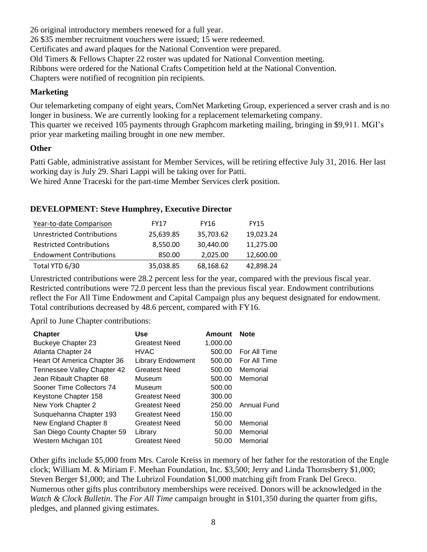26 original introductory members renewed for a full year. 26 \$35 member recruitment vouchers were issued; 15 were redeemed. Certificates and award plaques for the National Convention were prepared. Old Timers & Fellows Chapter 22 roster was updated for National Convention meeting. Ribbons were ordered for the National Crafts Competition held at the National Convention. Chapters were notified of recognition pin recipients.

### **Marketing**

Our telemarketing company of eight years, ComNet Marketing Group, experienced a server crash and is no longer in business. We are currently looking for a replacement telemarketing company. This quarter we received 105 payments through Graphcom marketing mailing, bringing in \$9,911. MGI's prior year marketing mailing brought in one new member.

### **Other**

Patti Gable, administrative assistant for Member Services, will be retiring effective July 31, 2016. Her last working day is July 29. Shari Lappi will be taking over for Patti.

We hired Anne Traceski for the part-time Member Services clerk position.

# **DEVELOPMENT: Steve Humphrey, Executive Director**

| Year-to-date Comparison         | <b>FY17</b> | <b>FY16</b> | <b>FY15</b> |
|---------------------------------|-------------|-------------|-------------|
| Unrestricted Contributions      | 25,639.85   | 35,703.62   | 19.023.24   |
| <b>Restricted Contributions</b> | 8,550.00    | 30.440.00   | 11,275.00   |
| <b>Endowment Contributions</b>  | 850.00      | 2,025.00    | 12,600.00   |
| Total YTD 6/30                  | 35,038.85   | 68,168.62   | 42,898.24   |

Unrestricted contributions were 28.2 percent less for the year, compared with the previous fiscal year. Restricted contributions were 72.0 percent less than the previous fiscal year. Endowment contributions reflect the For All Time Endowment and Capital Campaign plus any bequest designated for endowment. Total contributions decreased by 48.6 percent, compared with FY16.

April to June Chapter contributions:

| <b>Chapter</b>              | Use                      | Amount   | <b>Note</b>  |
|-----------------------------|--------------------------|----------|--------------|
| <b>Buckeye Chapter 23</b>   | <b>Greatest Need</b>     | 1,000.00 |              |
| Atlanta Chapter 24          | <b>HVAC</b>              | 500.00   | For All Time |
| Heart Of America Chapter 36 | <b>Library Endowment</b> | 500.00   | For All Time |
| Tennessee Valley Chapter 42 | <b>Greatest Need</b>     | 500.00   | Memorial     |
| Jean Ribault Chapter 68     | Museum                   | 500.00   | Memorial     |
| Sooner Time Collectors 74   | Museum                   | 500.00   |              |
| Keystone Chapter 158        | <b>Greatest Need</b>     | 300.00   |              |
| New York Chapter 2          | <b>Greatest Need</b>     | 250.00   | Annual Fund  |
| Susquehanna Chapter 193     | <b>Greatest Need</b>     | 150.00   |              |
| New England Chapter 8       | <b>Greatest Need</b>     | 50.00    | Memorial     |
| San Diego County Chapter 59 | Library                  | 50.00    | Memorial     |
| Western Michigan 101        | <b>Greatest Need</b>     | 50.00    | Memorial     |

Other gifts include \$5,000 from Mrs. Carole Kreiss in memory of her father for the restoration of the Engle clock; William M. & Miriam F. Meehan Foundation, Inc. \$3,500; Jerry and Linda Thornsberry \$1,000; Steven Berger \$1,000; and The Lubrizol Foundation \$1,000 matching gift from Frank Del Greco. Numerous other gifts plus contributory memberships were received. Donors will be acknowledged in the *Watch & Clock Bulletin*. The *For All Time* campaign brought in \$101,350 during the quarter from gifts, pledges, and planned giving estimates.